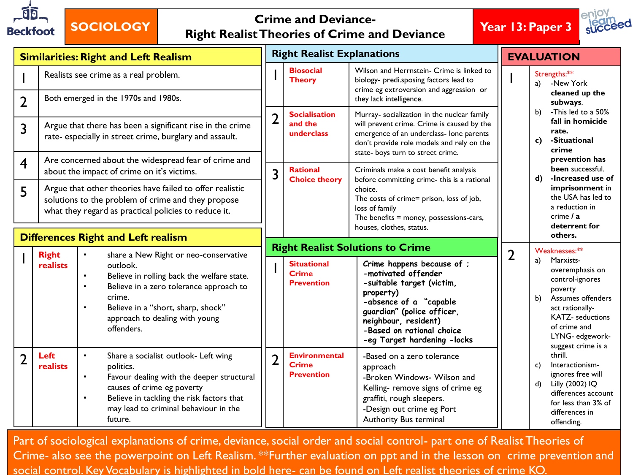

## **SOCIOLOGY Crime and Deviance-Right Realist Theories of Crime and Deviance Year 13: Paper 3**



| <b>Similarities: Right and Left Realism</b> |                                                                                                                                                                                                                                                               |                                                                                                                                                                                                                                                                      | <b>Right Realist Explanations</b> |                                                           |                                                                                                                                                                                                                                         | <b>EVALUATION</b> |                                                                                                                                                                                                                                                                                                                                                                              |
|---------------------------------------------|---------------------------------------------------------------------------------------------------------------------------------------------------------------------------------------------------------------------------------------------------------------|----------------------------------------------------------------------------------------------------------------------------------------------------------------------------------------------------------------------------------------------------------------------|-----------------------------------|-----------------------------------------------------------|-----------------------------------------------------------------------------------------------------------------------------------------------------------------------------------------------------------------------------------------|-------------------|------------------------------------------------------------------------------------------------------------------------------------------------------------------------------------------------------------------------------------------------------------------------------------------------------------------------------------------------------------------------------|
| $\overline{2}$                              | Realists see crime as a real problem.<br>Both emerged in the 1970s and 1980s.<br>Argue that there has been a significant rise in the crime<br>rate- especially in street crime, burglary and assault.<br>Are concerned about the widespread fear of crime and |                                                                                                                                                                                                                                                                      |                                   | <b>Biosocial</b><br><b>Theory</b>                         | Wilson and Herrnstein- Crime is linked to<br>biology- predi.sposing factors lead to<br>crime eg extroversion and aggression or<br>they lack intelligence.                                                                               |                   | Strengths:**<br>-New York<br>a)<br>cleaned up the<br>subways.<br>b)<br>-This led to a 50%<br>fall in homicide<br>rate.<br>-Situational<br>c)<br>crime<br>prevention has                                                                                                                                                                                                      |
| 3                                           |                                                                                                                                                                                                                                                               |                                                                                                                                                                                                                                                                      | $\overline{2}$                    | <b>Socialisation</b><br>and the<br>underclass             | Murray- socialization in the nuclear family<br>will prevent crime. Crime is caused by the<br>emergence of an underclass- lone parents<br>don't provide role models and rely on the<br>state- boys turn to street crime.                 |                   |                                                                                                                                                                                                                                                                                                                                                                              |
| $\overline{4}$<br>5                         |                                                                                                                                                                                                                                                               | about the impact of crime on it's victims.<br>Argue that other theories have failed to offer realistic<br>solutions to the problem of crime and they propose<br>what they regard as practical policies to reduce it.                                                 | 3                                 | <b>Rational</b><br><b>Choice theory</b>                   | Criminals make a cost benefit analysis<br>before committing crime- this is a rational<br>choice.<br>The costs of crime= prison, loss of job,<br>loss of family<br>The benefits $=$ money, possessions-cars,<br>houses, clothes, status. |                   | been successful.<br>-Increased use of<br>d)<br>imprisonment in<br>the USA has led to<br>a reduction in<br>crime / a<br>deterrent for                                                                                                                                                                                                                                         |
| <b>Differences Right and Left realism</b>   |                                                                                                                                                                                                                                                               |                                                                                                                                                                                                                                                                      |                                   | <b>Right Realist Solutions to Crime</b>                   |                                                                                                                                                                                                                                         |                   | others.<br>Weaknesses:**                                                                                                                                                                                                                                                                                                                                                     |
|                                             | <b>Right</b><br>realists                                                                                                                                                                                                                                      | share a New Right or neo-conservative<br>outlook.<br>Believe in rolling back the welfare state.<br>Believe in a zero tolerance approach to<br>crime.<br>Believe in a "short, sharp, shock"<br>approach to dealing with young<br>offenders.                           | H                                 | <b>Situational</b><br><b>Crime</b><br><b>Prevention</b>   | Crime happens because of ;<br>-motivated offender<br>-suitable target (victim,<br>property)<br>-absence of a "capable<br>guardian" (police officer,<br>neighbour, resident)<br>-Based on rational choice<br>-eg Target hardening -locks | $\overline{2}$    | Marxists-<br>a)<br>overemphasis on<br>control-ignores<br>poverty<br>Assumes offenders<br>b)<br>act rationally-<br><b>KATZ-</b> seductions<br>of crime and<br>LYNG- edgework-<br>suggest crime is a<br>thrill.<br>Interactionism-<br>c)<br>ignores free will<br>$\mathbf{d}$<br>Lilly (2002) IQ<br>differences account<br>for less than 3% of<br>differences in<br>offending. |
| $\overline{2}$                              | Left<br>realists                                                                                                                                                                                                                                              | Share a socialist outlook- Left wing<br>$\bullet$<br>politics.<br>Favour dealing with the deeper structural<br>$\bullet$<br>causes of crime eg poverty<br>Believe in tackling the risk factors that<br>$\bullet$<br>may lead to criminal behaviour in the<br>future. | $\overline{2}$                    | <b>Environmental</b><br><b>Crime</b><br><b>Prevention</b> | -Based on a zero tolerance<br>approach<br>-Broken Windows- Wilson and<br>Kelling- remove signs of crime eg<br>graffiti, rough sleepers.<br>-Design out crime eg Port<br>Authority Bus terminal                                          |                   |                                                                                                                                                                                                                                                                                                                                                                              |

Part of sociological explanations of crime, deviance, social order and social control- part one of Realist Theories of Crime- also see the powerpoint on Left Realism. \*\*Further evaluation on ppt and in the lesson on crime prevention and social control. Key Vocabulary is highlighted in bold here- can be found on Left realist theories of crime KO.